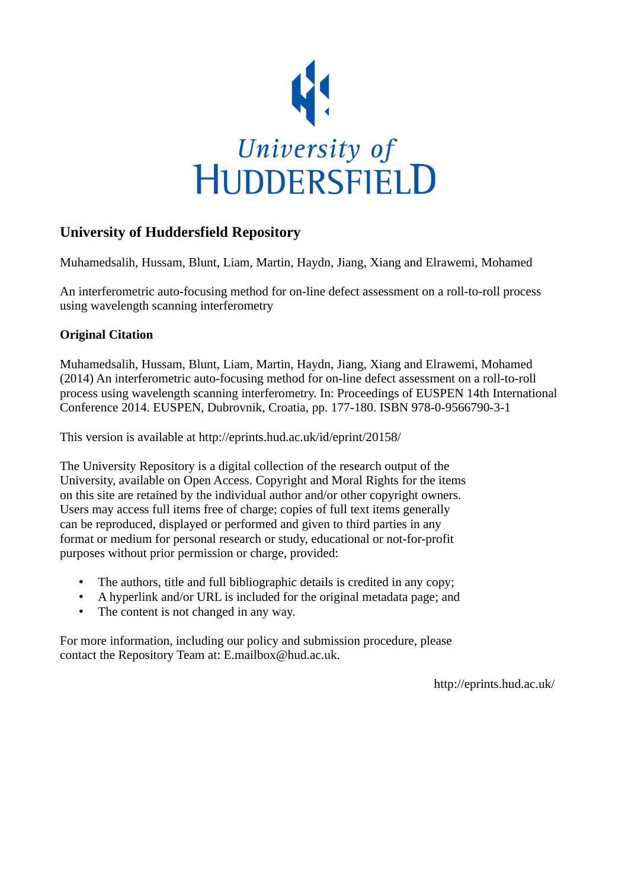

# **University of Huddersfield Repository**

Muhamedsalih, Hussam, Blunt, Liam, Martin, Haydn, Jiang, Xiang and Elrawemi, Mohamed

An interferometric auto-focusing method for on-line defect assessment on a roll-to-roll process using wavelength scanning interferometry

# **Original Citation**

Muhamedsalih, Hussam, Blunt, Liam, Martin, Haydn, Jiang, Xiang and Elrawemi, Mohamed (2014) An interferometric auto-focusing method for on-line defect assessment on a roll-to-roll process using wavelength scanning interferometry. In: Proceedings of EUSPEN 14th International Conference 2014. EUSPEN, Dubrovnik, Croatia, pp. 177-180. ISBN 978-0-9566790-3-1

This version is available at http://eprints.hud.ac.uk/id/eprint/20158/

The University Repository is a digital collection of the research output of the University, available on Open Access. Copyright and Moral Rights for the items on this site are retained by the individual author and/or other copyright owners. Users may access full items free of charge; copies of full text items generally can be reproduced, displayed or performed and given to third parties in any format or medium for personal research or study, educational or not-for-profit purposes without prior permission or charge, provided:

- The authors, title and full bibliographic details is credited in any copy;
- A hyperlink and/or URL is included for the original metadata page; and
- The content is not changed in any way.

For more information, including our policy and submission procedure, please contact the Repository Team at: E.mailbox@hud.ac.uk.

http://eprints.hud.ac.uk/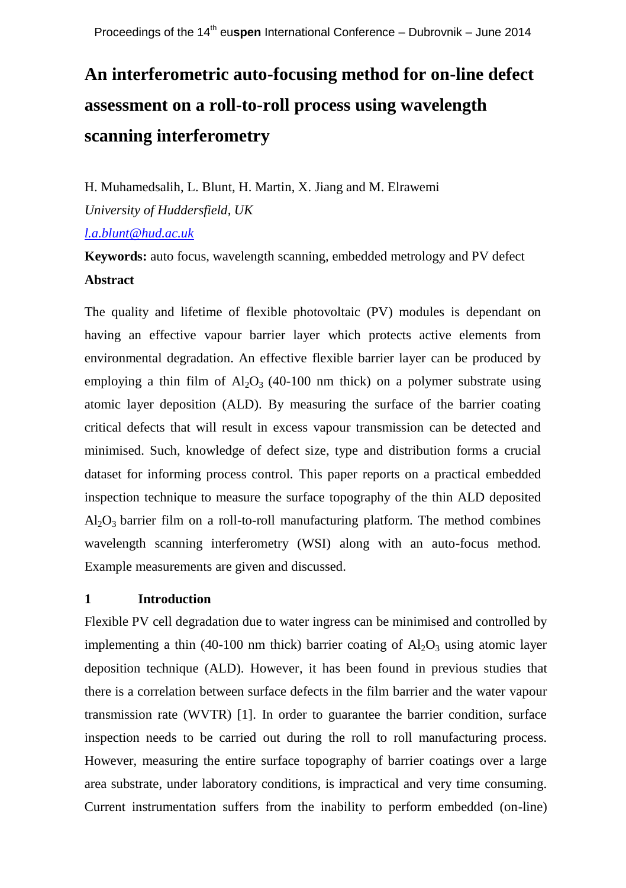# **An interferometric auto-focusing method for on-line defect assessment on a roll-to-roll process using wavelength scanning interferometry**

H. Muhamedsalih, L. Blunt, H. Martin, X. Jiang and M. Elrawemi

*University of Huddersfield, UK*

*[l.a.blunt@hud.ac.uk](mailto:l.a.blunt@hud.ac.uk)*

**Keywords:** auto focus, wavelength scanning, embedded metrology and PV defect **Abstract**

The quality and lifetime of flexible photovoltaic (PV) modules is dependant on having an effective vapour barrier layer which protects active elements from environmental degradation. An effective flexible barrier layer can be produced by employing a thin film of  $Al_2O_3$  (40-100 nm thick) on a polymer substrate using atomic layer deposition (ALD). By measuring the surface of the barrier coating critical defects that will result in excess vapour transmission can be detected and minimised. Such, knowledge of defect size, type and distribution forms a crucial dataset for informing process control. This paper reports on a practical embedded inspection technique to measure the surface topography of the thin ALD deposited  $Al_2O_3$  barrier film on a roll-to-roll manufacturing platform. The method combines wavelength scanning interferometry (WSI) along with an auto-focus method. Example measurements are given and discussed.

# **1 Introduction**

Flexible PV cell degradation due to water ingress can be minimised and controlled by implementing a thin (40-100 nm thick) barrier coating of  $Al_2O_3$  using atomic layer deposition technique (ALD). However, it has been found in previous studies that there is a correlation between surface defects in the film barrier and the water vapour transmission rate (WVTR) [1]. In order to guarantee the barrier condition, surface inspection needs to be carried out during the roll to roll manufacturing process. However, measuring the entire surface topography of barrier coatings over a large area substrate, under laboratory conditions, is impractical and very time consuming. Current instrumentation suffers from the inability to perform embedded (on-line)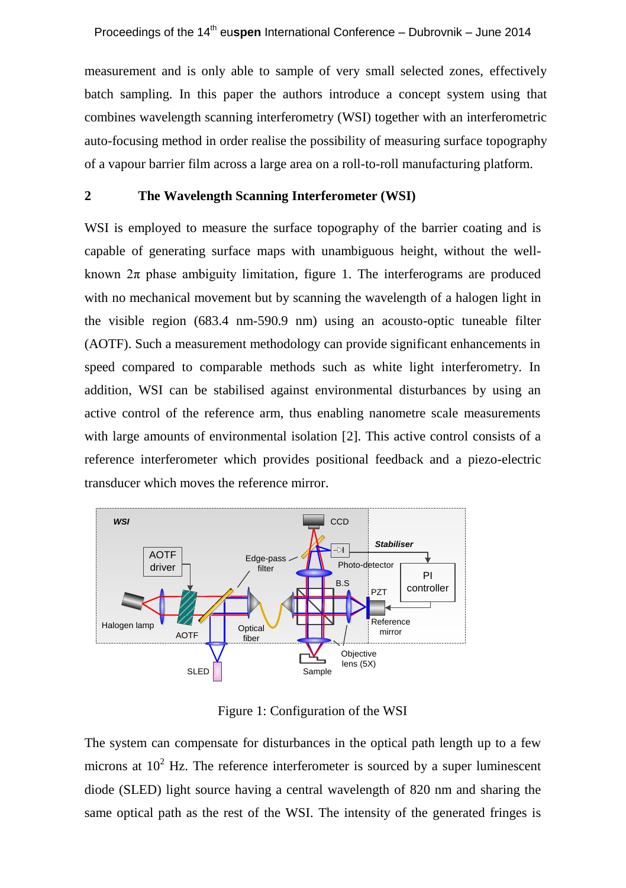measurement and is only able to sample of very small selected zones, effectively batch sampling. In this paper the authors introduce a concept system using that combines wavelength scanning interferometry (WSI) together with an interferometric auto-focusing method in order realise the possibility of measuring surface topography of a vapour barrier film across a large area on a roll-to-roll manufacturing platform.

#### **2 The Wavelength Scanning Interferometer (WSI)**

WSI is employed to measure the surface topography of the barrier coating and is capable of generating surface maps with unambiguous height, without the wellknown  $2\pi$  phase ambiguity limitation, figure 1. The interferograms are produced with no mechanical movement but by scanning the wavelength of a halogen light in the visible region (683.4 nm-590.9 nm) using an acousto-optic tuneable filter (AOTF). Such a measurement methodology can provide significant enhancements in speed compared to comparable methods such as white light interferometry. In addition, WSI can be stabilised against environmental disturbances by using an active control of the reference arm, thus enabling nanometre scale measurements with large amounts of environmental isolation [2]. This active control consists of a reference interferometer which provides positional feedback and a piezo-electric transducer which moves the reference mirror.



Figure 1: Configuration of the WSI

The system can compensate for disturbances in the optical path length up to a few microns at  $10^2$  Hz. The reference interferometer is sourced by a super luminescent diode (SLED) light source having a central wavelength of 820 nm and sharing the same optical path as the rest of the WSI. The intensity of the generated fringes is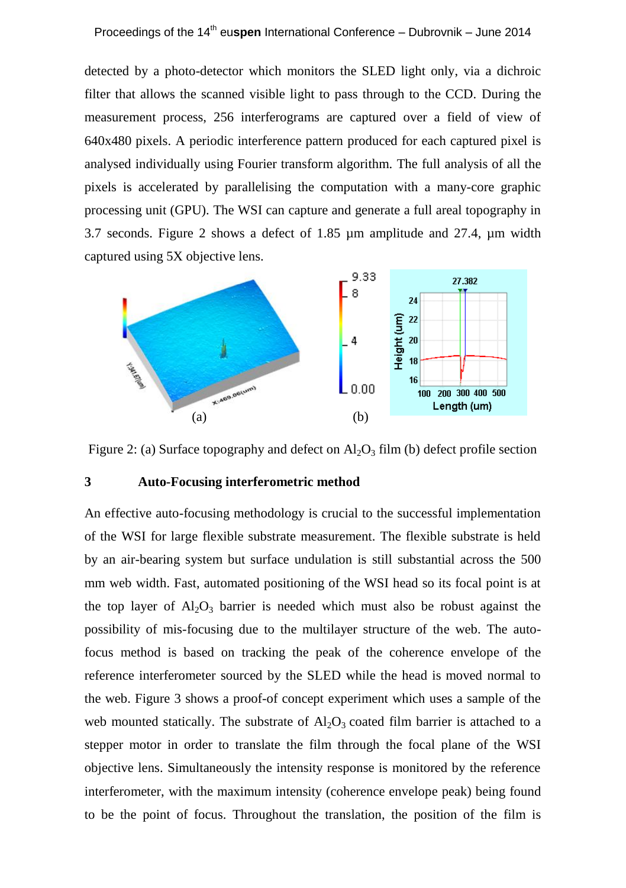detected by a photo-detector which monitors the SLED light only, via a dichroic filter that allows the scanned visible light to pass through to the CCD. During the measurement process, 256 interferograms are captured over a field of view of 640x480 pixels. A periodic interference pattern produced for each captured pixel is analysed individually using Fourier transform algorithm. The full analysis of all the pixels is accelerated by parallelising the computation with a many-core graphic processing unit (GPU). The WSI can capture and generate a full areal topography in 3.7 seconds. Figure 2 shows a defect of 1.85 µm amplitude and 27.4, µm width captured using 5X objective lens.



Figure 2: (a) Surface topography and defect on  $\text{Al}_2\text{O}_3$  film (b) defect profile section

#### **3 Auto-Focusing interferometric method**

An effective auto-focusing methodology is crucial to the successful implementation of the WSI for large flexible substrate measurement. The flexible substrate is held by an air-bearing system but surface undulation is still substantial across the 500 mm web width. Fast, automated positioning of the WSI head so its focal point is at the top layer of  $A_1O_3$  barrier is needed which must also be robust against the possibility of mis-focusing due to the multilayer structure of the web. The autofocus method is based on tracking the peak of the coherence envelope of the reference interferometer sourced by the SLED while the head is moved normal to the web. Figure 3 shows a proof-of concept experiment which uses a sample of the web mounted statically. The substrate of  $A<sub>1</sub>O<sub>3</sub>$  coated film barrier is attached to a stepper motor in order to translate the film through the focal plane of the WSI objective lens. Simultaneously the intensity response is monitored by the reference interferometer, with the maximum intensity (coherence envelope peak) being found to be the point of focus. Throughout the translation, the position of the film is